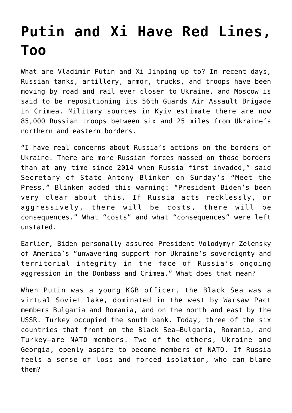## **[Putin and Xi Have Red Lines,](https://intellectualtakeout.org/2021/04/putin-and-xi-have-red-lines-too/) [Too](https://intellectualtakeout.org/2021/04/putin-and-xi-have-red-lines-too/)**

What are Vladimir Putin and Xi Jinping up to? In recent days, Russian tanks, artillery, armor, trucks, and troops have been moving by road and rail ever closer to Ukraine, and Moscow is said to be repositioning its 56th Guards Air Assault Brigade in Crimea. Military sources in Kyiv estimate there are now 85,000 Russian troops between six and 25 miles from Ukraine's northern and eastern borders.

"I have real concerns about Russia's actions on the borders of Ukraine. There are more Russian forces massed on those borders than at any time since 2014 when Russia first invaded," said Secretary of State Antony Blinken on Sunday's "Meet the Press." Blinken added this warning: "President Biden's been very clear about this. If Russia acts recklessly, or aggressively, there will be costs, there will be consequences." What "costs" and what "consequences" were left unstated.

Earlier, Biden personally assured President Volodymyr Zelensky of America's "unwavering support for Ukraine's sovereignty and territorial integrity in the face of Russia's ongoing aggression in the Donbass and Crimea." What does that mean?

When Putin was a young KGB officer, the Black Sea was a virtual Soviet lake, dominated in the west by Warsaw Pact members Bulgaria and Romania, and on the north and east by the USSR. Turkey occupied the south bank. Today, three of the six countries that front on the Black Sea—Bulgaria, Romania, and Turkey—are NATO members. Two of the others, Ukraine and Georgia, openly aspire to become members of NATO. If Russia feels a sense of loss and forced isolation, who can blame them?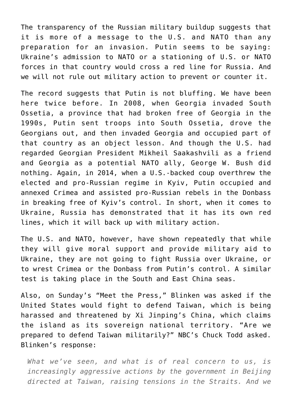The transparency of the Russian military buildup suggests that it is more of a message to the U.S. and NATO than any preparation for an invasion. Putin seems to be saying: Ukraine's admission to NATO or a stationing of U.S. or NATO forces in that country would cross a red line for Russia. And we will not rule out military action to prevent or counter it.

The record suggests that Putin is not bluffing. We have been here twice before. In 2008, when Georgia invaded South Ossetia, a province that had broken free of Georgia in the 1990s, Putin sent troops into South Ossetia, drove the Georgians out, and then invaded Georgia and occupied part of that country as an object lesson. And though the U.S. had regarded Georgian President Mikheil Saakashvili as a friend and Georgia as a potential NATO ally, George W. Bush did nothing. Again, in 2014, when a U.S.-backed coup overthrew the elected and pro-Russian regime in Kyiv, Putin occupied and annexed Crimea and assisted pro-Russian rebels in the Donbass in breaking free of Kyiv's control. In short, when it comes to Ukraine, Russia has demonstrated that it has its own red lines, which it will back up with military action.

The U.S. and NATO, however, have shown repeatedly that while they will give moral support and provide military aid to Ukraine, they are not going to fight Russia over Ukraine, or to wrest Crimea or the Donbass from Putin's control. A similar test is taking place in the South and East China seas.

Also, on Sunday's "Meet the Press," Blinken was asked if the United States would fight to defend Taiwan, which is being harassed and threatened by Xi Jinping's China, which claims the island as its sovereign national territory. "Are we prepared to defend Taiwan militarily?" NBC's Chuck Todd asked. Blinken's response:

*What we've seen, and what is of real concern to us, is increasingly aggressive actions by the government in Beijing directed at Taiwan, raising tensions in the Straits. And we*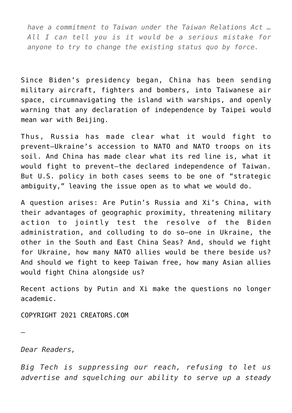*have a commitment to Taiwan under the Taiwan Relations Act … All I can tell you is it would be a serious mistake for anyone to try to change the existing status quo by force.* 

Since Biden's presidency began, China has been sending military aircraft, fighters and bombers, into Taiwanese air space, circumnavigating the island with warships, and openly warning that any declaration of independence by Taipei would mean war with Beijing.

Thus, Russia has made clear what it would fight to prevent—Ukraine's accession to NATO and NATO troops on its soil. And China has made clear what its red line is, what it would fight to prevent—the declared independence of Taiwan. But U.S. policy in both cases seems to be one of "strategic ambiguity," leaving the issue open as to what we would do.

A question arises: Are Putin's Russia and Xi's China, with their advantages of geographic proximity, threatening military action to jointly test the resolve of the Biden administration, and colluding to do so—one in Ukraine, the other in the South and East China Seas? And, should we fight for Ukraine, how many NATO allies would be there beside us? And should we fight to keep Taiwan free, how many Asian allies would fight China alongside us?

Recent actions by Putin and Xi make the questions no longer academic.

COPYRIGHT 2021 CREATORS.COM

*Dear Readers,*

—

*Big Tech is suppressing our reach, refusing to let us advertise and squelching our ability to serve up a steady*